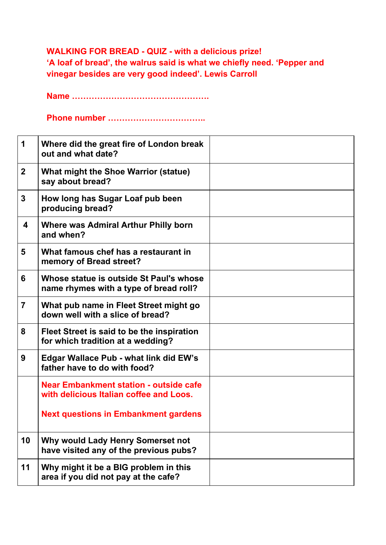## **WALKING FOR BREAD - QUIZ - with a delicious prize! 'A loaf of bread', the walrus said is what we chiefly need. 'Pepper and vinegar besides are very good indeed'. Lewis Carroll**

**Name ………………………………………….**

**Phone number ……………………………..**

| 1              | Where did the great fire of London break<br>out and what date?                           |  |
|----------------|------------------------------------------------------------------------------------------|--|
| $\overline{2}$ | What might the Shoe Warrior (statue)<br>say about bread?                                 |  |
| 3              | How long has Sugar Loaf pub been<br>producing bread?                                     |  |
| 4              | <b>Where was Admiral Arthur Philly born</b><br>and when?                                 |  |
| 5              | What famous chef has a restaurant in<br>memory of Bread street?                          |  |
| 6              | Whose statue is outside St Paul's whose<br>name rhymes with a type of bread roll?        |  |
| $\overline{7}$ | What pub name in Fleet Street might go<br>down well with a slice of bread?               |  |
| 8              | Fleet Street is said to be the inspiration<br>for which tradition at a wedding?          |  |
| 9              | <b>Edgar Wallace Pub - what link did EW's</b><br>father have to do with food?            |  |
|                | <b>Near Embankment station - outside cafe</b><br>with delicious Italian coffee and Loos. |  |
|                | <b>Next questions in Embankment gardens</b>                                              |  |
| 10             | Why would Lady Henry Somerset not<br>have visited any of the previous pubs?              |  |
| 11             | Why might it be a BIG problem in this<br>area if you did not pay at the cafe?            |  |